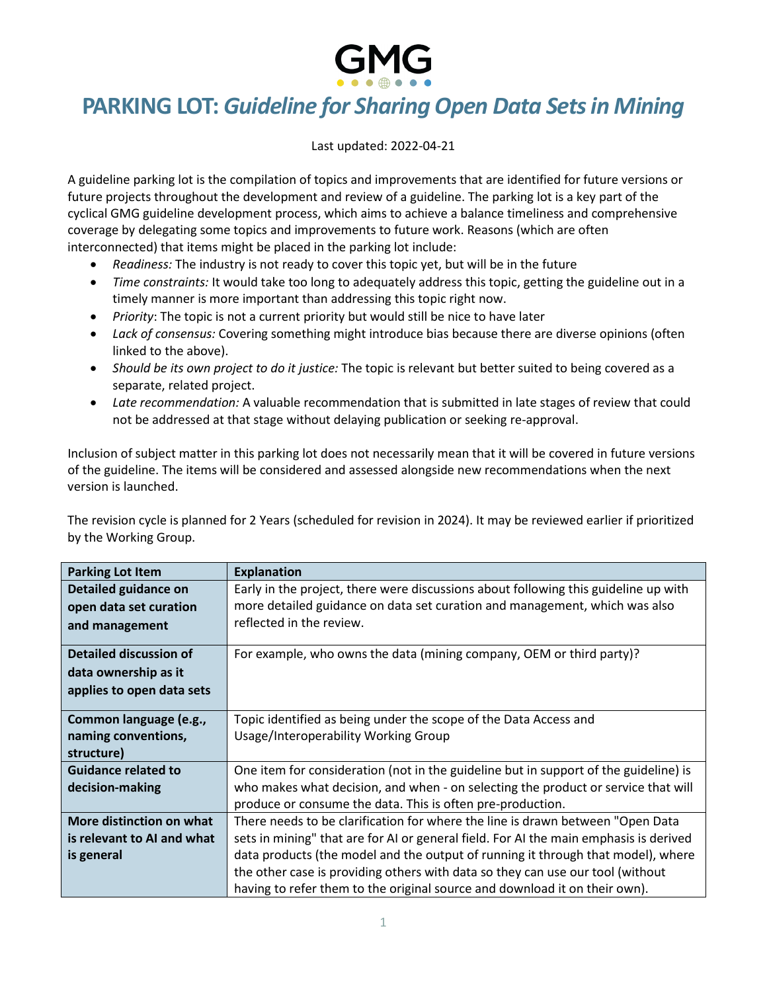## **PARKING LOT:** *Guideline for Sharing Open Data Sets in Mining*

Last updated: 2022-04-21

A guideline parking lot is the compilation of topics and improvements that are identified for future versions or future projects throughout the development and review of a guideline. The parking lot is a key part of the cyclical GMG guideline development process, which aims to achieve a balance timeliness and comprehensive coverage by delegating some topics and improvements to future work. Reasons (which are often interconnected) that items might be placed in the parking lot include:

- *Readiness:* The industry is not ready to cover this topic yet, but will be in the future
- *Time constraints:* It would take too long to adequately address this topic, getting the guideline out in a timely manner is more important than addressing this topic right now.
- *Priority*: The topic is not a current priority but would still be nice to have later
- *Lack of consensus:* Covering something might introduce bias because there are diverse opinions (often linked to the above).
- *Should be its own project to do it justice:* The topic is relevant but better suited to being covered as a separate, related project.
- *Late recommendation:* A valuable recommendation that is submitted in late stages of review that could not be addressed at that stage without delaying publication or seeking re-approval.

Inclusion of subject matter in this parking lot does not necessarily mean that it will be covered in future versions of the guideline. The items will be considered and assessed alongside new recommendations when the next version is launched.

The revision cycle is planned for 2 Years (scheduled for revision in 2024). It may be reviewed earlier if prioritized by the Working Group.

| <b>Parking Lot Item</b>                                                            | <b>Explanation</b>                                                                                                                                                                                                                                                                                                                                                                                                          |
|------------------------------------------------------------------------------------|-----------------------------------------------------------------------------------------------------------------------------------------------------------------------------------------------------------------------------------------------------------------------------------------------------------------------------------------------------------------------------------------------------------------------------|
| <b>Detailed guidance on</b><br>open data set curation<br>and management            | Early in the project, there were discussions about following this guideline up with<br>more detailed guidance on data set curation and management, which was also<br>reflected in the review.                                                                                                                                                                                                                               |
| <b>Detailed discussion of</b><br>data ownership as it<br>applies to open data sets | For example, who owns the data (mining company, OEM or third party)?                                                                                                                                                                                                                                                                                                                                                        |
| Common language (e.g.,<br>naming conventions,<br>structure)                        | Topic identified as being under the scope of the Data Access and<br>Usage/Interoperability Working Group                                                                                                                                                                                                                                                                                                                    |
| <b>Guidance related to</b><br>decision-making                                      | One item for consideration (not in the guideline but in support of the guideline) is<br>who makes what decision, and when - on selecting the product or service that will<br>produce or consume the data. This is often pre-production.                                                                                                                                                                                     |
| More distinction on what<br>is relevant to AI and what<br>is general               | There needs to be clarification for where the line is drawn between "Open Data<br>sets in mining" that are for AI or general field. For AI the main emphasis is derived<br>data products (the model and the output of running it through that model), where<br>the other case is providing others with data so they can use our tool (without<br>having to refer them to the original source and download it on their own). |